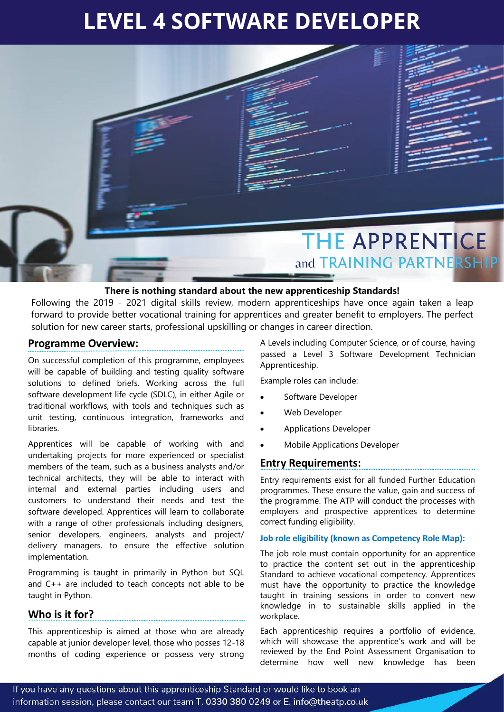# **LEVEL 4 SOFTWARE DEVELOPER**



## **There is nothing standard about the new apprenticeship Standards!**

Following the 2019 - 2021 digital skills review, modern apprenticeships have once again taken a leap forward to provide better vocational training for apprentices and greater benefit to employers. The perfect solution for new career starts, professional upskilling or changes in career direction.

## **Programme Overview:**

On successful completion of this programme, employees will be capable of building and testing quality software solutions to defined briefs. Working across the full software development life cycle (SDLC), in either Agile or traditional workflows, with tools and techniques such as unit testing, continuous integration, frameworks and libraries.

Apprentices will be capable of working with and undertaking projects for more experienced or specialist members of the team, such as a business analysts and/or technical architects, they will be able to interact with internal and external parties including users and customers to understand their needs and test the software developed. Apprentices will learn to collaborate with a range of other professionals including designers, senior developers, engineers, analysts and project/ delivery managers. to ensure the effective solution implementation.

Programming is taught in primarily in Python but SQL and C++ are included to teach concepts not able to be taught in Python.

# **Who is it for?**

This apprenticeship is aimed at those who are already capable at junior developer level, those who posses 12-18 months of coding experience or possess very strong

A Levels including Computer Science, or of course, having passed a Level 3 Software Development Technician Apprenticeship.

Example roles can include:

- Software Developer
- Web Developer
- Applications Developer
- Mobile Applications Developer

## **Entry Requirements:**

Entry requirements exist for all funded Further Education programmes. These ensure the value, gain and success of the programme. The ATP will conduct the processes with employers and prospective apprentices to determine correct funding eligibility.

### **Job role eligibility (known as Competency Role Map):**

The job role must contain opportunity for an apprentice to practice the content set out in the apprenticeship Standard to achieve vocational competency. Apprentices must have the opportunity to practice the knowledge taught in training sessions in order to convert new knowledge in to sustainable skills applied in the workplace.

Each apprenticeship requires a portfolio of evidence, which will showcase the apprentice's work and will be reviewed by the End Point Assessment Organisation to determine how well new knowledge has been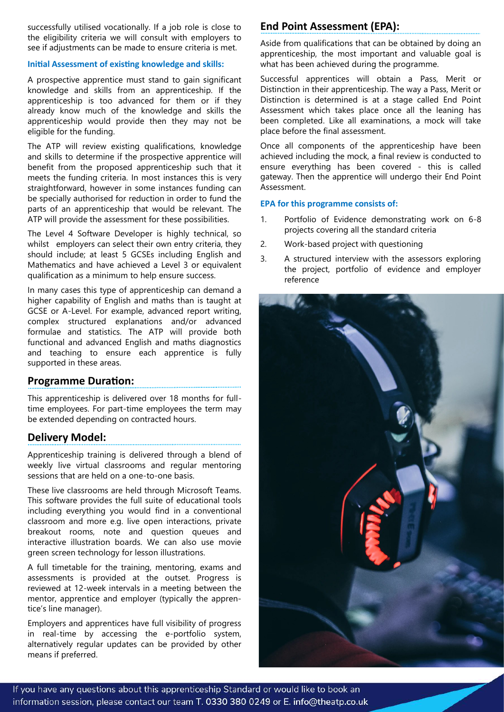successfully utilised vocationally. If a job role is close to the eligibility criteria we will consult with employers to see if adjustments can be made to ensure criteria is met.

#### **Initial Assessment of existing knowledge and skills:**

A prospective apprentice must stand to gain significant knowledge and skills from an apprenticeship. If the apprenticeship is too advanced for them or if they already know much of the knowledge and skills the apprenticeship would provide then they may not be eligible for the funding.

The ATP will review existing qualifications, knowledge and skills to determine if the prospective apprentice will benefit from the proposed apprenticeship such that it meets the funding criteria. In most instances this is very straightforward, however in some instances funding can be specially authorised for reduction in order to fund the parts of an apprenticeship that would be relevant. The ATP will provide the assessment for these possibilities.

The Level 4 Software Developer is highly technical, so whilst employers can select their own entry criteria, they should include; at least 5 GCSEs including English and Mathematics and have achieved a Level 3 or equivalent qualification as a minimum to help ensure success.

In many cases this type of apprenticeship can demand a higher capability of English and maths than is taught at GCSE or A-Level. For example, advanced report writing, complex structured explanations and/or advanced formulae and statistics. The ATP will provide both functional and advanced English and maths diagnostics and teaching to ensure each apprentice is fully supported in these areas.

# **Programme Duration:**

This apprenticeship is delivered over 18 months for fulltime employees. For part-time employees the term may be extended depending on contracted hours.

# **Delivery Model:**

Apprenticeship training is delivered through a blend of weekly live virtual classrooms and regular mentoring sessions that are held on a one-to-one basis.

These live classrooms are held through Microsoft Teams. This software provides the full suite of educational tools including everything you would find in a conventional classroom and more e.g. live open interactions, private breakout rooms, note and question queues and interactive illustration boards. We can also use movie green screen technology for lesson illustrations.

A full timetable for the training, mentoring, exams and assessments is provided at the outset. Progress is reviewed at 12-week intervals in a meeting between the mentor, apprentice and employer (typically the apprentice's line manager).

Employers and apprentices have full visibility of progress in real-time by accessing the e-portfolio system, alternatively regular updates can be provided by other means if preferred.

# **End Point Assessment (EPA):**

Aside from qualifications that can be obtained by doing an apprenticeship, the most important and valuable goal is what has been achieved during the programme.

Successful apprentices will obtain a Pass, Merit or Distinction in their apprenticeship. The way a Pass, Merit or Distinction is determined is at a stage called End Point Assessment which takes place once all the leaning has been completed. Like all examinations, a mock will take place before the final assessment.

Once all components of the apprenticeship have been achieved including the mock, a final review is conducted to ensure everything has been covered - this is called gateway. Then the apprentice will undergo their End Point Assessment.

## **EPA for this programme consists of:**

- 1. Portfolio of Evidence demonstrating work on 6-8 projects covering all the standard criteria
- 2. Work-based project with questioning
- 3. A structured interview with the assessors exploring the project, portfolio of evidence and employer reference



If you have any questions about this apprenticeship Standard or would like to book an information session, please contact our team T. 0330 380 0249 or E. info@theatp.co.uk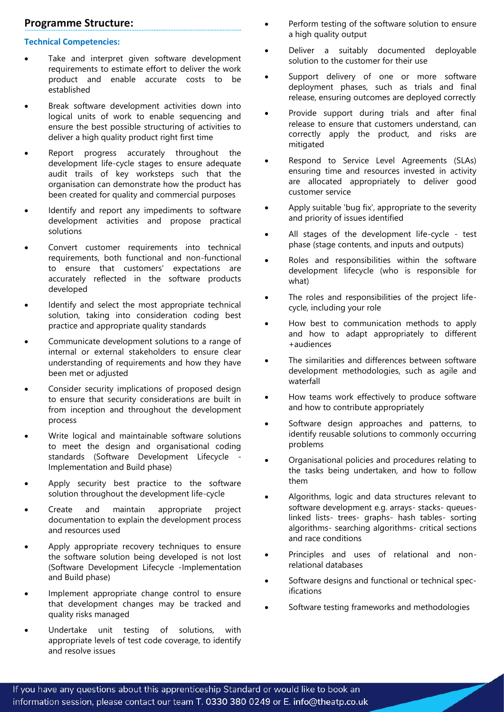# **Programme Structure:**

## **Technical Competencies:**

- Take and interpret given software development requirements to estimate effort to deliver the work product and enable accurate costs to be established
- Break software development activities down into logical units of work to enable sequencing and ensure the best possible structuring of activities to deliver a high quality product right first time
- Report progress accurately throughout the development life-cycle stages to ensure adequate audit trails of key worksteps such that the organisation can demonstrate how the product has been created for quality and commercial purposes
- Identify and report any impediments to software development activities and propose practical solutions
- Convert customer requirements into technical requirements, both functional and non-functional to ensure that customers' expectations are accurately reflected in the software products developed
- Identify and select the most appropriate technical solution, taking into consideration coding best practice and appropriate quality standards
- Communicate development solutions to a range of internal or external stakeholders to ensure clear understanding of requirements and how they have been met or adjusted
- Consider security implications of proposed design to ensure that security considerations are built in from inception and throughout the development process
- Write logical and maintainable software solutions to meet the design and organisational coding standards (Software Development Lifecycle - Implementation and Build phase)
- Apply security best practice to the software solution throughout the development life-cycle
- Create and maintain appropriate project documentation to explain the development process and resources used
- Apply appropriate recovery techniques to ensure the software solution being developed is not lost (Software Development Lifecycle -Implementation and Build phase)
- Implement appropriate change control to ensure that development changes may be tracked and quality risks managed
- Undertake unit testing of solutions, with appropriate levels of test code coverage, to identify and resolve issues
- Perform testing of the software solution to ensure a high quality output
- Deliver a suitably documented deployable solution to the customer for their use
- Support delivery of one or more software deployment phases, such as trials and final release, ensuring outcomes are deployed correctly
- Provide support during trials and after final release to ensure that customers understand, can correctly apply the product, and risks are mitigated
- Respond to Service Level Agreements (SLAs) ensuring time and resources invested in activity are allocated appropriately to deliver good customer service
- Apply suitable 'bug fix', appropriate to the severity and priority of issues identified
- All stages of the development life-cycle test phase (stage contents, and inputs and outputs)
- Roles and responsibilities within the software development lifecycle (who is responsible for what)
- The roles and responsibilities of the project lifecycle, including your role
- How best to communication methods to apply and how to adapt appropriately to different +audiences
- The similarities and differences between software development methodologies, such as agile and waterfall
- How teams work effectively to produce software and how to contribute appropriately
- Software design approaches and patterns, to identify reusable solutions to commonly occurring problems
- Organisational policies and procedures relating to the tasks being undertaken, and how to follow them
- Algorithms, logic and data structures relevant to software development e.g. arrays- stacks- queueslinked lists- trees- graphs- hash tables- sorting algorithms- searching algorithms- critical sections and race conditions
- Principles and uses of relational and nonrelational databases
- Software designs and functional or technical specifications
- Software testing frameworks and methodologies